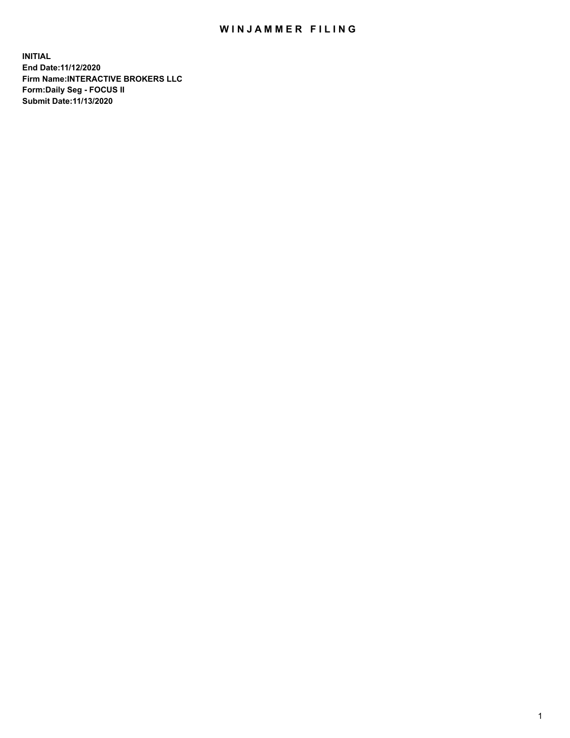## WIN JAMMER FILING

**INITIAL End Date:11/12/2020 Firm Name:INTERACTIVE BROKERS LLC Form:Daily Seg - FOCUS II Submit Date:11/13/2020**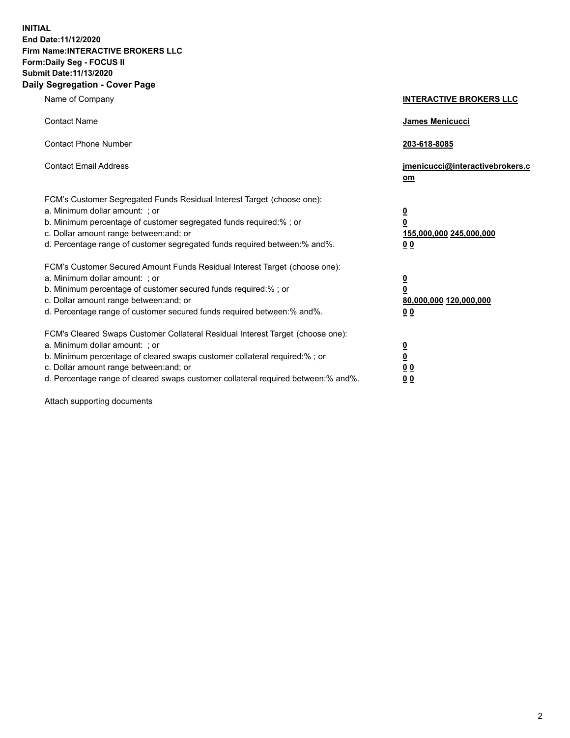**INITIAL End Date:11/12/2020 Firm Name:INTERACTIVE BROKERS LLC Form:Daily Seg - FOCUS II Submit Date:11/13/2020 Daily Segregation - Cover Page**

| Name of Company                                                                                                                                                                                                                                                                                                                | <b>INTERACTIVE BROKERS LLC</b>                                                                           |
|--------------------------------------------------------------------------------------------------------------------------------------------------------------------------------------------------------------------------------------------------------------------------------------------------------------------------------|----------------------------------------------------------------------------------------------------------|
| <b>Contact Name</b>                                                                                                                                                                                                                                                                                                            | James Menicucci                                                                                          |
| <b>Contact Phone Number</b>                                                                                                                                                                                                                                                                                                    | 203-618-8085                                                                                             |
| <b>Contact Email Address</b>                                                                                                                                                                                                                                                                                                   | jmenicucci@interactivebrokers.c<br>om                                                                    |
| FCM's Customer Segregated Funds Residual Interest Target (choose one):<br>a. Minimum dollar amount: ; or<br>b. Minimum percentage of customer segregated funds required:% ; or<br>c. Dollar amount range between: and; or<br>d. Percentage range of customer segregated funds required between:% and%.                         | $\overline{\mathbf{0}}$<br>$\overline{\mathbf{0}}$<br>155,000,000 245,000,000<br>0 <sub>0</sub>          |
| FCM's Customer Secured Amount Funds Residual Interest Target (choose one):<br>a. Minimum dollar amount: ; or<br>b. Minimum percentage of customer secured funds required:%; or<br>c. Dollar amount range between: and; or<br>d. Percentage range of customer secured funds required between:% and%.                            | $\overline{\mathbf{0}}$<br>$\overline{\mathbf{0}}$<br>80,000,000 120,000,000<br>00                       |
| FCM's Cleared Swaps Customer Collateral Residual Interest Target (choose one):<br>a. Minimum dollar amount: ; or<br>b. Minimum percentage of cleared swaps customer collateral required:% ; or<br>c. Dollar amount range between: and; or<br>d. Percentage range of cleared swaps customer collateral required between:% and%. | $\overline{\mathbf{0}}$<br>$\underline{\mathbf{0}}$<br>$\underline{0}$ $\underline{0}$<br>0 <sub>0</sub> |

Attach supporting documents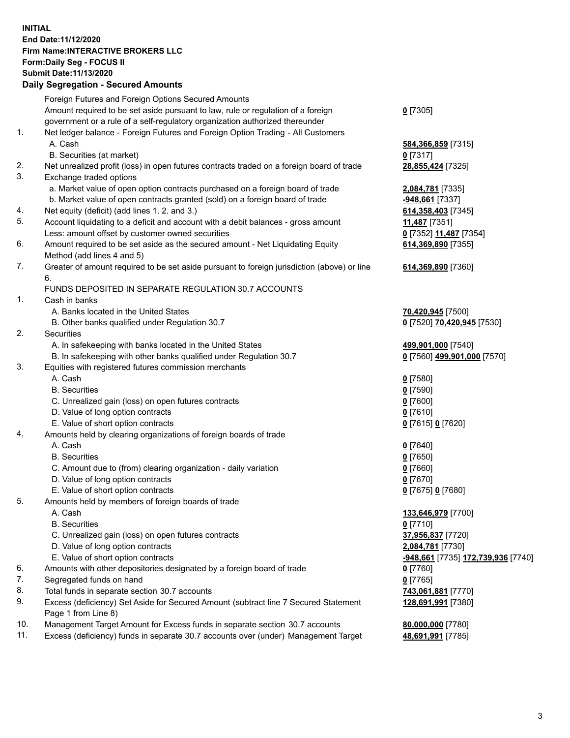## **INITIAL End Date:11/12/2020 Firm Name:INTERACTIVE BROKERS LLC Form:Daily Seg - FOCUS II Submit Date:11/13/2020 Daily Segregation - Secured Amounts**

|     | Dany Ocgregation - Occarea Amounts                                                          |                                                 |
|-----|---------------------------------------------------------------------------------------------|-------------------------------------------------|
|     | Foreign Futures and Foreign Options Secured Amounts                                         |                                                 |
|     | Amount required to be set aside pursuant to law, rule or regulation of a foreign            | $0$ [7305]                                      |
|     | government or a rule of a self-regulatory organization authorized thereunder                |                                                 |
| 1.  | Net ledger balance - Foreign Futures and Foreign Option Trading - All Customers             |                                                 |
|     | A. Cash                                                                                     | 584,366,859 [7315]                              |
|     | B. Securities (at market)                                                                   | $0$ [7317]                                      |
| 2.  | Net unrealized profit (loss) in open futures contracts traded on a foreign board of trade   | 28,855,424 [7325]                               |
| 3.  | Exchange traded options                                                                     |                                                 |
|     | a. Market value of open option contracts purchased on a foreign board of trade              | 2,084,781 [7335]                                |
|     | b. Market value of open contracts granted (sold) on a foreign board of trade                | -948,661 [7337]                                 |
| 4.  | Net equity (deficit) (add lines 1. 2. and 3.)                                               | 614, 358, 403 [7345]                            |
| 5.  | Account liquidating to a deficit and account with a debit balances - gross amount           | 11,487 [7351]                                   |
|     | Less: amount offset by customer owned securities                                            | 0 [7352] 11,487 [7354]                          |
| 6.  | Amount required to be set aside as the secured amount - Net Liquidating Equity              | 614,369,890 [7355]                              |
|     | Method (add lines 4 and 5)                                                                  |                                                 |
| 7.  | Greater of amount required to be set aside pursuant to foreign jurisdiction (above) or line | 614,369,890 [7360]                              |
|     | 6.                                                                                          |                                                 |
|     | FUNDS DEPOSITED IN SEPARATE REGULATION 30.7 ACCOUNTS                                        |                                                 |
| 1.  | Cash in banks                                                                               |                                                 |
|     | A. Banks located in the United States                                                       | 70,420,945 [7500]                               |
|     | B. Other banks qualified under Regulation 30.7                                              | 0 [7520] 70,420,945 [7530]                      |
| 2.  | Securities                                                                                  |                                                 |
|     | A. In safekeeping with banks located in the United States                                   | 499,901,000 [7540]                              |
|     | B. In safekeeping with other banks qualified under Regulation 30.7                          | 0 [7560] 499,901,000 [7570]                     |
| 3.  | Equities with registered futures commission merchants                                       |                                                 |
|     | A. Cash                                                                                     | $0$ [7580]                                      |
|     | <b>B.</b> Securities                                                                        | $0$ [7590]                                      |
|     | C. Unrealized gain (loss) on open futures contracts                                         | $0$ [7600]                                      |
|     | D. Value of long option contracts                                                           | $0$ [7610]                                      |
|     | E. Value of short option contracts                                                          | 0 [7615] 0 [7620]                               |
| 4.  | Amounts held by clearing organizations of foreign boards of trade                           |                                                 |
|     | A. Cash                                                                                     | $0$ [7640]                                      |
|     | <b>B.</b> Securities                                                                        | $0$ [7650]                                      |
|     | C. Amount due to (from) clearing organization - daily variation                             | $0$ [7660]                                      |
|     | D. Value of long option contracts                                                           | $0$ [7670]                                      |
|     | E. Value of short option contracts                                                          | 0 [7675] 0 [7680]                               |
| 5.  | Amounts held by members of foreign boards of trade                                          |                                                 |
|     | A. Cash                                                                                     | 133,646,979 [7700]                              |
|     | <b>B.</b> Securities                                                                        | $0$ [7710]                                      |
|     | C. Unrealized gain (loss) on open futures contracts                                         | 37,956,837 [7720]                               |
|     | D. Value of long option contracts                                                           | 2,084,781 [7730]                                |
|     | E. Value of short option contracts                                                          | <mark>-948,661</mark> [7735] 172,739,936 [7740] |
| 6.  | Amounts with other depositories designated by a foreign board of trade                      | $0$ [7760]                                      |
| 7.  | Segregated funds on hand                                                                    | $0$ [7765]                                      |
| 8.  | Total funds in separate section 30.7 accounts                                               | 743,061,881 [7770]                              |
| 9.  | Excess (deficiency) Set Aside for Secured Amount (subtract line 7 Secured Statement         | 128,691,991 [7380]                              |
|     | Page 1 from Line 8)                                                                         |                                                 |
| 10. | Management Target Amount for Excess funds in separate section 30.7 accounts                 | 80,000,000 [7780]                               |
| 11. | Excess (deficiency) funds in separate 30.7 accounts over (under) Management Target          | 48,691,991 [7785]                               |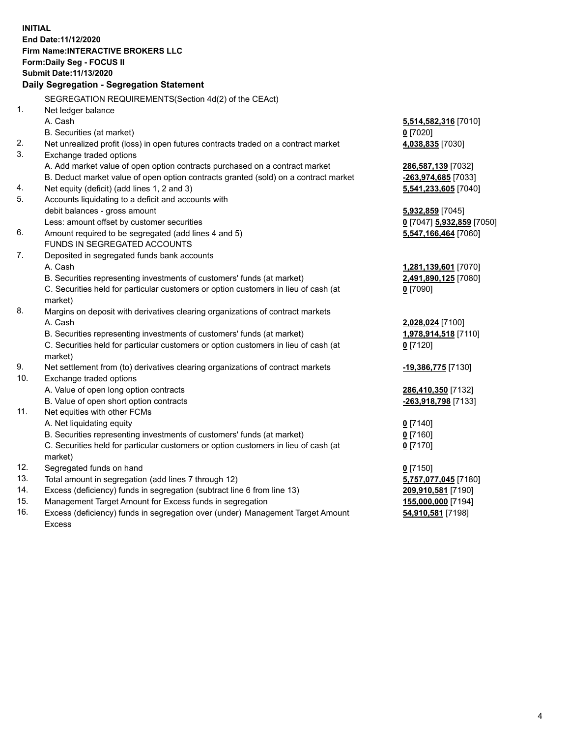**INITIAL End Date:11/12/2020 Firm Name:INTERACTIVE BROKERS LLC Form:Daily Seg - FOCUS II Submit Date:11/13/2020 Daily Segregation - Segregation Statement** SEGREGATION REQUIREMENTS(Section 4d(2) of the CEAct) 1. Net ledger balance A. Cash **5,514,582,316** [7010] B. Securities (at market) **0** [7020] 2. Net unrealized profit (loss) in open futures contracts traded on a contract market **4,038,835** [7030] 3. Exchange traded options A. Add market value of open option contracts purchased on a contract market **286,587,139** [7032] B. Deduct market value of open option contracts granted (sold) on a contract market **-263,974,685** [7033] 4. Net equity (deficit) (add lines 1, 2 and 3) **5,541,233,605** [7040] 5. Accounts liquidating to a deficit and accounts with debit balances - gross amount **5,932,859** [7045] Less: amount offset by customer securities **0** [7047] **5,932,859** [7050] 6. Amount required to be segregated (add lines 4 and 5) **5,547,166,464** [7060] FUNDS IN SEGREGATED ACCOUNTS 7. Deposited in segregated funds bank accounts A. Cash **1,281,139,601** [7070] B. Securities representing investments of customers' funds (at market) **2,491,890,125** [7080] C. Securities held for particular customers or option customers in lieu of cash (at market) **0** [7090] 8. Margins on deposit with derivatives clearing organizations of contract markets A. Cash **2,028,024** [7100] B. Securities representing investments of customers' funds (at market) **1,978,914,518** [7110] C. Securities held for particular customers or option customers in lieu of cash (at market) **0** [7120] 9. Net settlement from (to) derivatives clearing organizations of contract markets **-19,386,775** [7130] 10. Exchange traded options A. Value of open long option contracts **286,410,350** [7132] B. Value of open short option contracts **-263,918,798** [7133] 11. Net equities with other FCMs A. Net liquidating equity **0** [7140] B. Securities representing investments of customers' funds (at market) **0** [7160] C. Securities held for particular customers or option customers in lieu of cash (at market) **0** [7170] 12. Segregated funds on hand **0** [7150] 13. Total amount in segregation (add lines 7 through 12) **5,757,077,045** [7180] 14. Excess (deficiency) funds in segregation (subtract line 6 from line 13) **209,910,581** [7190] 15. Management Target Amount for Excess funds in segregation **155,000,000** [7194] **54,910,581** [7198]

16. Excess (deficiency) funds in segregation over (under) Management Target Amount Excess